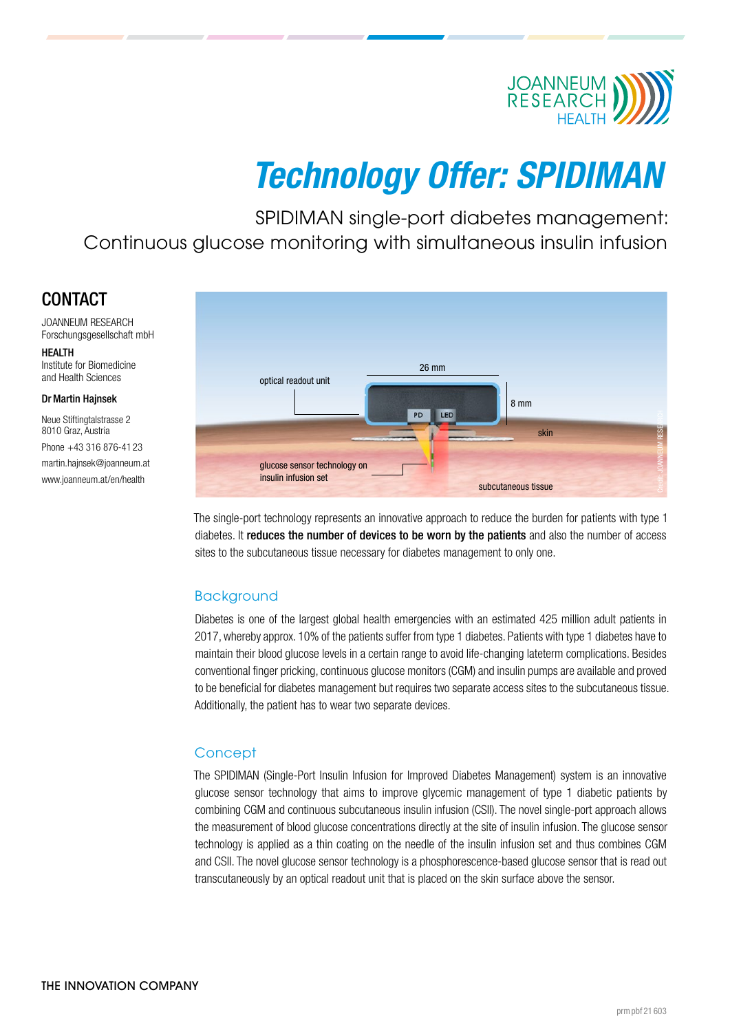

# Technology Offer: SPIDIMAN

SPIDIMAN single-port diabetes management: Continuous glucose monitoring with simultaneous insulin infusion

## CONTACT

JOANNEUM RESEARCH Forschungsgesellschaft mbH

**HEALTH** Institute for Biomedicine and Health Sciences

#### Dr Martin Hajnsek

Neue Stiftingtalstrasse 2 8010 Graz, Austria Phone +43 316 876-41 23 [martin.hajnsek@joanneum.at](mailto:martin.hajnsek%40joanneum.at?subject=) [www.joanneum.at/en/health](http://www.joanneum.at/en/health)



The single-port technology represents an innovative approach to reduce the burden for patients with type 1 diabetes. It reduces the number of devices to be worn by the patients and also the number of access sites to the subcutaneous tissue necessary for diabetes management to only one.

### **Background**

Diabetes is one of the largest global health emergencies with an estimated 425 million adult patients in 2017, whereby approx. 10% of the patients suffer from type 1 diabetes. Patients with type 1 diabetes have to maintain their blood glucose levels in a certain range to avoid life-changing lateterm complications. Besides conventional finger pricking, continuous glucose monitors (CGM) and insulin pumps are available and proved to be beneficial for diabetes management but requires two separate access sites to the subcutaneous tissue. Additionally, the patient has to wear two separate devices.

#### **Concept**

The SPIDIMAN (Single-Port Insulin Infusion for Improved Diabetes Management) system is an innovative glucose sensor technology that aims to improve glycemic management of type 1 diabetic patients by combining CGM and continuous subcutaneous insulin infusion (CSII). The novel single-port approach allows the measurement of blood glucose concentrations directly at the site of insulin infusion. The glucose sensor technology is applied as a thin coating on the needle of the insulin infusion set and thus combines CGM and CSII. The novel glucose sensor technology is a phosphorescence-based glucose sensor that is read out transcutaneously by an optical readout unit that is placed on the skin surface above the sensor.